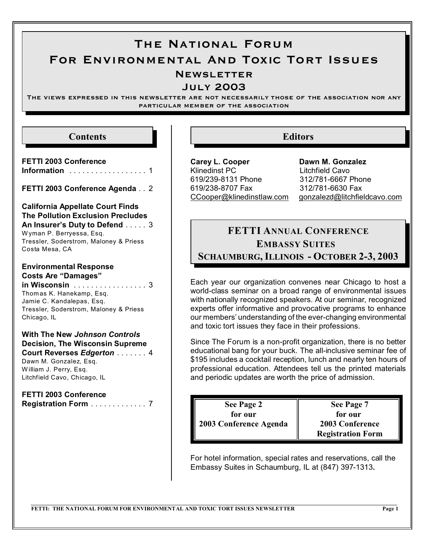# The National Forum For Environmental And Toxic Tort Issues **NEWSLETTER**

July 2003

The views expressed in this newsletter are not necessarily those of the association nor any particular member of the association

### **Contents**

**FETTI 2003 Conference Information** .......... ........ 1

**FETTI 2003 Conference Agenda** . . 2

**California Appellate Court Finds The Pollution Exclusion Precludes An Insurer's Duty to Defend** ..... 3 W yman P. Berryessa, Esq. Tressler, Soderstrom, Maloney & Priess Costa Mesa, CA

## **Environmental Response Costs Are "Damages"**

**in Wisconsin** .......... ....... 3 Thomas K. Hanekamp, Esq. Jamie C. Kandalepas, Esq. Tressler, Soderstrom, Maloney & Priess Chicago, IL

**With The New** *Johnson Controls* **Decision, The Wisconsin Supreme Court Reverses** *Edgerton* ....... 4 Dawn M. Gonzalez, Esq. W illiam J. Perry, Esq. Litchfield Cavo, Chicago, IL

**FETTI 2003 Conference Registration Form** ............... 7

# **Editors**

**Carey L. Cooper Dawn M. Gonzalez** Klinedinst PC Litchfield Cavo 619/239-8131 Phone 312/781-6667 Phone 619/238-8707 Fax 312/781-6630 Fax

[CCooper@klinedinstlaw.com](mailto:Ccooper@klinedinstlaw.com) [gonzalezd@litchfieldcavo.com](mailto:dawn.gonzalez@bmbt.com)

# **FETTI ANNUAL CONFERENCE EMBASSY SUITES SCHAUMBURG, ILLINOIS - OCTOBER 2-3, 2003**

Each year our organization convenes near Chicago to host a world-class seminar on a broad range of environmental issues with nationally recognized speakers. At our seminar, recognized experts offer informative and provocative programs to enhance our members' understanding of the ever-changing environmental and toxic tort issues they face in their professions.

Since The Forum is a non-profit organization, there is no better educational bang for your buck. The all-inclusive seminar fee of \$195 includes a cocktail reception, lunch and nearly ten hours of professional education. Attendees tell us the printed materials and periodic updates are worth the price of admission.

**See Page 2 for our 2003 Conference Agenda**

**See Page 7 for our 2003 Conference Registration Form**

For hotel information, special rates and reservations, call the Embassy Suites in Schaumburg, IL at (847) 397-1313**.**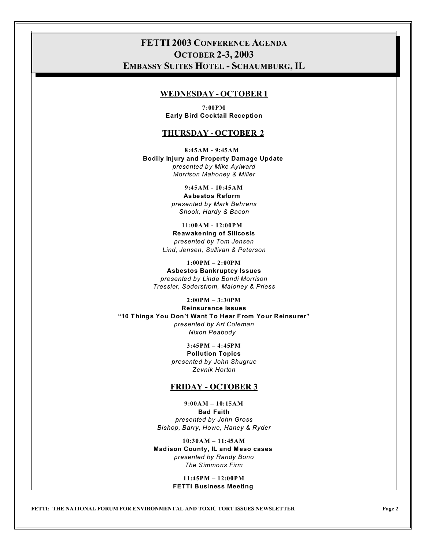## **FETTI 2003 CONFERENCE AGENDA OCTOBER 2-3, 2003 EMBASSY SUITES HOTEL - SCHAUMBURG, IL**

#### **WEDNESDAY - OCTOBER 1**

**7:00PM Early Bird Cocktail Reception**

#### **THURSDAY - OCTOBER 2**

**8:45AM - 9:45AM Bodily Injury and Property Damage Update**  *presented by Mike Aylward Morrison Mahoney & Miller*

> **9:45AM - 10:45AM Asbestos Reform**  *presented by Mark Behrens Shook, Hardy & Bacon*

**11:00AM - 12:00PM Reawakening of Silicosis** *presented by Tom Jensen Lind, Jensen, Sullivan & Peterson*

**1:00PM – 2:00PM Asbestos Bankruptcy Issues** *presented by Linda Bondi Morrison Tressler, Soderstrom, Maloney & Priess*

**2:00PM – 3:30PM**

**Reinsurance Issues "10 Things You Don't Want To Hear From Your Reinsurer"** *presented by Art Coleman Nixon Peabody*

> **3:45PM – 4:45PM Pollution Topics** *presented by John Shugrue Zevnik Horton*

#### **FRIDAY - OCTOBER 3**

**9:00AM – 10:15AM Bad Faith** *presented by John Gross Bishop, Barry, Howe, Haney & Ryder*

**10:30AM – 11:45AM Madison County, IL and Meso cases** *presented by Randy Bono The Simmons Firm*

> **11:45PM – 12:00PM FETTI Business Meeting**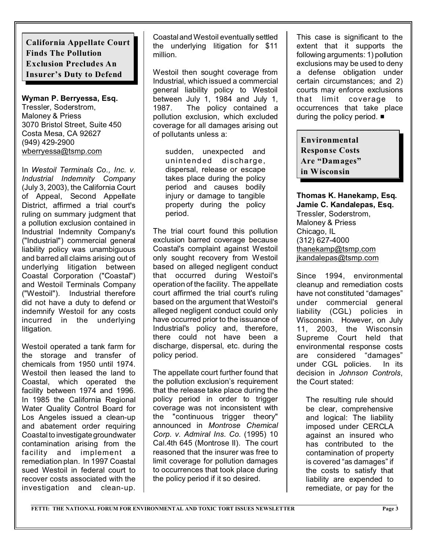**California Appellate Court Finds The Pollution Exclusion Precludes An Insurer's Duty to Defend**

**Wyman P. Berryessa, Esq.**

Tressler, Soderstrom, Maloney & Priess 3070 Bristol Street, Suite 450 Costa Mesa, CA 92627 (949) 429-2900 [wberryessa@tsmp.com](mailto:wberryessa@tsmp.com)

In *Westoil Terminals Co., Inc. v. Industrial Indemnity Company* (July 3, 2003), the California Court of Appeal, Second Appellate District, affirmed a trial court's ruling on summary judgment that a pollution exclusion contained in Industrial Indemnity Company's ("Industrial") commercial general liability policy was unambiguous and barred all claims arising out of underlying litigation between Coastal Corporation ("Coastal") and Westoil Terminals Company ("Westoil"). Industrial therefore did not have a duty to defend or indemnify Westoil for any costs incurred in the underlying litigation.

Westoil operated a tank farm for the storage and transfer of chemicals from 1950 until 1974. Westoil then leased the land to Coastal, which operated the facility between 1974 and 1996. In 1985 the California Regional Water Quality Control Board for Los Angeles issued a clean-up and abatement order requiring Coastal to investigategroundwater contamination arising from the facility and implement a remediation plan. In 1997 Coastal sued Westoil in federal court to recover costs associated with the investigation and clean-up.

Coastaland Westoil eventually settled the underlying litigation for \$11 million.

Westoil then sought coverage from Industrial, which issued a commercial general liability policy to Westoil between July 1, 1984 and July 1, 1987. The policy contained a pollution exclusion, which excluded coverage for all damages arising out of pollutants unless a:

sudden, unexpected and unintended discharge, dispersal, release or escape takes place during the policy period and causes bodily injury or damage to tangible property during the policy period.

The trial court found this pollution exclusion barred coverage because Coastal's complaint against Westoil only sought recovery from Westoil based on alleged negligent conduct that occurred during Westoil's operation of the facility. The appellate court affirmed the trial court's ruling based on the argument that Westoil's alleged negligent conduct could only have occurred prior to the issuance of Industrial's policy and, therefore, there could not have been a discharge, dispersal, etc. during the policy period.

The appellate court further found that the pollution exclusion's requirement that the release take place during the policy period in order to trigger coverage was not inconsistent with the "continuous trigger theory" announced in *Montrose Chemical Corp. v. Admiral Ins. Co.* (1995) 10 Cal.4th 645 (Montrose II). The court reasoned that the insurer was free to limit coverage for pollution damages to occurrences that took place during the policy period if it so desired.

This case is significant to the extent that it supports the following arguments: 1) pollution exclusions may be used to deny a defense obligation under certain circumstances; and 2) courts may enforce exclusions that limit coverage to occurrences that take place during the policy period.  $\blacksquare$ 

**Environmental Response Costs Are "Damages" in Wisconsin**

**Thomas K. Hanekamp, Esq. Jamie C. Kandalepas, Esq.** Tressler, Soderstrom, Maloney & Priess Chicago, IL (312) 627-4000 [thanekamp@tsmp.com](mailto:thanekamp@tsmp.com) [jkandalepas@tsmp.com](mailto:jkandalepas@tsmp.com)

Since 1994, environmental cleanup and remediation costs have not constituted "damages" under commercial general liability (CGL) policies in Wisconsin. However, on July 11, 2003, the Wisconsin Supreme Court held that environmental response costs are considered "damages" under CGL policies. In its decision in *Johnson Controls*, the Court stated:

The resulting rule should be clear, comprehensive and logical: The liability imposed under CERCLA against an insured who has contributed to the contamination of property is covered "as damages" if the costs to satisfy that liability are expended to remediate, or pay for the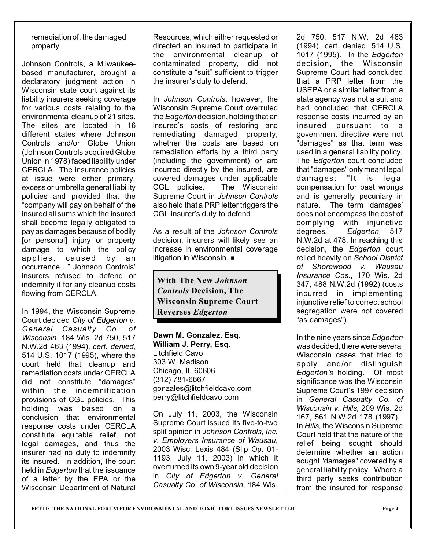remediation of, the damaged property.

Johnson Controls, a Milwaukeebased manufacturer, brought a declaratory judgment action in Wisconsin state court against its liability insurers seeking coverage for various costs relating to the environmental cleanup of 21 sites. The sites are located in 16 different states where Johnson Controls and/or Globe Union (Johnson Controls acquired Globe Union in 1978) faced liability under CERCLA. The insurance policies at issue were either primary, excess or umbrella general liability policies and provided that the "company will pay on behalf of the insured all sums which the insured shall become legally obligated to pay as damages because of bodily [or personal] injury or property damage to which the policy applies, caused by an occurrence…" Johnson Controls' insurers refused to defend or indemnify it for any cleanup costs flowing from CERCLA.

In 1994, the Wisconsin Supreme Court decided *City of Edgerton v. General Casualty Co. of Wisconsin*, 184 Wis. 2d 750, 517 N.W.2d 463 (1994), *cert. denied*, 514 U.S. 1017 (1995), where the court held that cleanup and remediation costs under CERCLA did not constitute "damages" within the indemnification provisions of CGL policies. This holding was based on a conclusion that environmental response costs under CERCLA constitute equitable relief, not legal damages, and thus the insurer had no duty to indemnify its insured. In addition, the court held in *Edgerton* that the issuance of a letter by the EPA or the Wisconsin Department of Natural

Resources, which either requested or directed an insured to participate in the environmental cleanup of contaminated property, did not constitute a "suit" sufficient to trigger the insurer's duty to defend.

In *Johnson Controls*, however, the Wisconsin Supreme Court overruled the *Edgerton* decision, holding that an insured's costs of restoring and remediating damaged property, whether the costs are based on remediation efforts by a third party (including the government) or are incurred directly by the insured, are covered damages under applicable CGL policies. The Wisconsin Supreme Court in *Johnson Controls* also held that a PRP letter triggers the CGL insurer's duty to defend.

As a result of the *Johnson Controls* decision, insurers will likely see an increase in environmental coverage litigation in Wisconsin.  $\blacksquare$ 

**With The New** *Johnson Controls* **Decision, The Wisconsin Supreme Court Reverses** *Edgerton*

**Dawn M. Gonzalez, Esq. William J. Perry, Esq.** Litchfield Cavo 303 W. Madison Chicago, IL 60606 (312) 781-6667 [gonzales@litchfieldcavo.com](mailto:gonzales@litchfieldcavo.com) [perry@litchfieldcavo.com](mailto:perry@litchfieldcavo.com)

On July 11, 2003, the Wisconsin Supreme Court issued its five-to-two split opinion in *Johnson Controls, Inc. v. Employers Insurance of Wausau*, 2003 Wisc. Lexis 484 (Slip Op. 01- 1193, July 11, 2003) in which it overturned its own 9-year old decision in *City of Edgerton v. General Casualty Co. of Wisconsin*, 184 Wis.

2d 750, 517 N.W. 2d 463 (1994), cert. denied, 514 U.S. 1017 (1995). In the *Edgerton* decision, the Wisconsin Supreme Court had concluded that a PRP letter from the USEPA or a similar letter from a state agency was not a suit and had concluded that CERCLA response costs incurred by an insured pursuant to a government directive were not "damages" as that term was used in a general liability policy. The *Edgerton* court concluded that "damages" only meant legal damages: "It is legal compensation for past wrongs and is generally pecuniary in nature. The term 'damages' does not encompass the cost of complying with injunctive degrees." *Edgerton,* 517 N.W.2d at 478. In reaching this decision, the *Edgerton* court relied heavily on *School District of Shorewood v. Wausau Insurance Cos.*, 170 Wis. 2d 347, 488 N.W.2d (1992) (costs incurred in implementing injunctive relief to correct school segregation were not covered "as damages").

In the nine years since *Edgerton* was decided, there were several Wisconsin cases that tried to apply and/or distinguish *Edgerton's* holding. Of most significance was the Wisconsin Supreme Court's 1997 decision in *General Casualty Co. of Wisconsin v. Hills,* 209 Wis. 2d 167, 561 N.W.2d 178 (1997). In *Hills,* the Wisconsin Supreme Court held that the nature of the relief being sought should determine whether an action sought "damages" covered by a general liability policy. Where a third party seeks contribution from the insured for response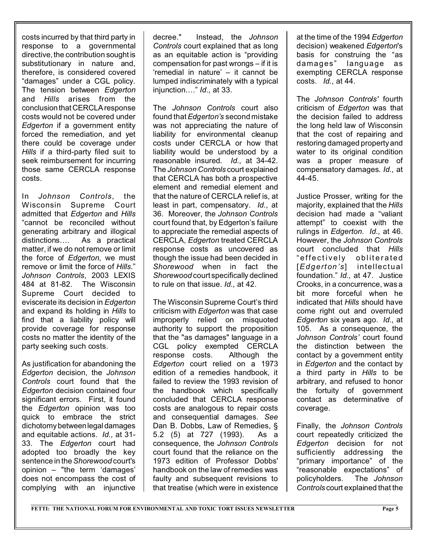costs incurred by that third party in response to a governmental directive, the contribution sought is substitutionary in nature and, therefore, is considered covered "damages" under a CGL policy. The tension between *Edgerton* and *Hills* arises from the conclusion that CERCLA response costs would not be covered under *Edgerton* if a government entity forced the remediation, and yet there could be coverage under *Hills* if a third-party filed suit to seek reimbursement for incurring those same CERCLA response costs.

In *Johnson Controls*, the Wisconsin Supreme Court admitted that *Edgerton* and *Hills* "cannot be reconciled without generating arbitrary and illogical distinctions…. As a practical matter, if we do not remove or limit the force of *Edgerton*, we must remove or limit the force of *Hills*." *Johnson Controls*, 2003 LEXIS 484 at 81-82. The Wisconsin Supreme Court decided to eviscerate its decision in *Edgerton* and expand its holding in *Hills* to find that a liability policy will provide coverage for response costs no matter the identity of the party seeking such costs.

As justification for abandoning the *Edgerton* decision, the *Johnson Controls* court found that the *Edgerton* decision contained four significant errors. First, it found the *Edgerton* opinion was too quick to embrace the strict dichotomy betweenlegal damages and equitable actions. *Id.,* at 31- 33. The *Edgerton* court had adopted too broadly the key sentence in the *Shorewood* court's opinion – "the term 'damages' does not encompass the cost of complying with an injunctive decree." Instead, the *Johnson Controls* court explained that as long as an equitable action is "providing compensation for past wrongs – if it is 'remedial in nature' – it cannot be lumped indiscriminately with a typical injunction…." *Id.,* at 33.

The *Johnson Controls* court also found that *Edgerton's* second mistake was not appreciating the nature of liability for environmental cleanup costs under CERCLA or how that liability would be understood by a reasonable insured. *Id.,* at 34-42. The *Johnson Controls* court explained that CERCLA has both a prospective element and remedial element and that the nature of CERCLA relief is, at least in part, compensatory. *Id.*, at 36. Moreover, the *Johnson Controls* court found that, by Edgerton's failure to appreciate the remedial aspects of CERCLA, *Edgerton* treated CERCLA response costs as uncovered as though the issue had been decided in *Shorewood* when in fact the *Shorewood* court specifically declined to rule on that issue. *Id.,* at 42.

The Wisconsin Supreme Court's third criticism with *Edgerton* was that case improperly relied on misquoted authority to support the proposition that the "as damages" language in a CGL policy exempted CERCLA response costs. Although the *Edgerton* court relied on a 1973 edition of a remedies handbook, it failed to review the 1993 revision of the handbook which specifically concluded that CERCLA response costs are analogous to repair costs and consequential damages. *See* Dan B. Dobbs, Law of Remedies, § 5.2 (5) at 727 (1993). As a consequence, the *Johnson Controls* court found that the reliance on the 1973 edition of Professor Dobbs' handbook on the law of remedies was faulty and subsequent revisions to that treatise (which were in existence

at the time of the 1994 *Edgerton* decision) weakened *Edgerton*'s basis for construing the "as damages" language as exempting CERCLA response costs. *Id.*, at 44.

The *Johnson Controls'* fourth criticism of *Edgerton* was that the decision failed to address the long held law of Wisconsin that the cost of repairing and restoring damaged property and water to its original condition was a proper measure of compensatory damages. *Id.,* at 44-45.

Justice Prosser, writing for the majority, explained that the *Hills* decision had made a "valiant attempt" to coexist with the rulings in *Edgerton*. *Id.,* at 46. However, the *Johnson Controls* court concluded that *Hills* "effectively obliterated [*Edgert on's*] intellectual foundation." *Id.,* at 47. Justice Crooks, in a concurrence, was a bit more forceful when he indicated that *Hills* should have come right out and overruled *Edgerton* six years ago. *Id.,* at 105. As a consequence, the *Johnson Controls'* court found the distinction between the contact by a government entity in *Edgerton* and the contact by a third party in *Hills* to be arbitrary, and refused to honor the fortuity of government contact as determinative of coverage.

Finally, the *Johnson Controls* court repeatedly criticized the *Edgerton* decision for not sufficiently addressing the "primary importance" of the "reasonable expectations" of policyholders. The *Johnson Controls* court explained that the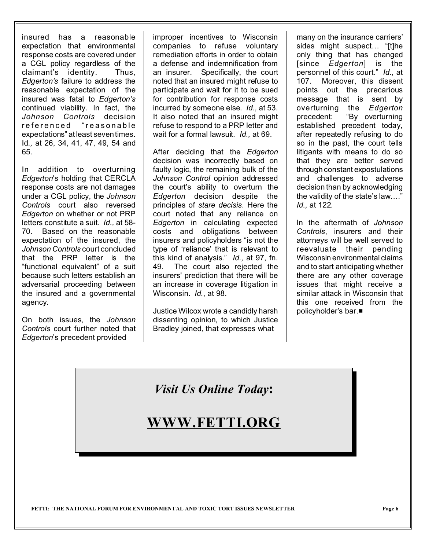insured has a reasonable expectation that environmental response costs are covered under a CGL policy regardless of the claimant's identity. Thus, *Edgerton's* failure to address the reasonable expectation of the insured was fatal to *Edgerton's* continued viability. In fact, the *Johnson Controls* decision referenced "reasonable expectations" at least seven times. Id*.,* at 26, 34, 41, 47, 49, 54 and 65.

In addition to overturning *Edgerton*'s holding that CERCLA response costs are not damages under a CGL policy, the *Johnson Controls* court also reversed *Edgerton* on whether or not PRP letters constitute a suit. *Id.,* at 58- 70. Based on the reasonable expectation of the insured, the *Johnson Controls* court concluded that the PRP letter is the "functional equivalent" of a suit because such letters establish an adversarial proceeding between the insured and a governmental agency.

On both issues, the *Johnson Controls* court further noted that *Edgerton*'s precedent provided

improper incentives to Wisconsin companies to refuse voluntary remediation efforts in order to obtain a defense and indemnification from an insurer. Specifically, the court noted that an insured might refuse to participate and wait for it to be sued for contribution for response costs incurred by someone else. *Id.,* at 53. It also noted that an insured might refuse to respond to a PRP letter and wait for a formal lawsuit. *Id.,* at 69.

After deciding that the *Edgerton* decision was incorrectly based on faulty logic, the remaining bulk of the *Johnson Control* opinion addressed the court's ability to overturn the *Edgerton* decision despite the principles of *stare decisis*. Here the court noted that any reliance on *Edgerton* in calculating expected costs and obligations between insurers and policyholders "is not the type of 'reliance' that is relevant to this kind of analysis." *Id.,* at 97, fn. 49. The court also rejected the insurers' prediction that there will be an increase in coverage litigation in Wisconsin. *Id.*, at 98.

Justice Wilcox wrote a candidly harsh dissenting opinion, to which Justice Bradley joined, that expresses what

many on the insurance carriers' sides might suspect… "[t]he only thing that has changed [since *Edgerton*] is the personnel of this court." *Id.,* at 107. Moreover, this dissent points out the precarious message that is sent by overturning the *Edgerton* precedent: "By overturning established precedent today, after repeatedly refusing to do so in the past, the court tells litigants with means to do so that they are better served through constant expostulations and challenges to adverse decision than by acknowledging the validity of the state's law…." *Id.,* at 122.

In the aftermath of *Johnson Controls*, insurers and their attorneys will be well served to reevaluate their pending Wisconsin environmental claims and to start anticipating whether there are any other coverage issues that might receive a similar attack in Wisconsin that this one received from the policyholder's bar.■

*Visit Us Online Today***:**

# **WWW.FETTI.ORG**